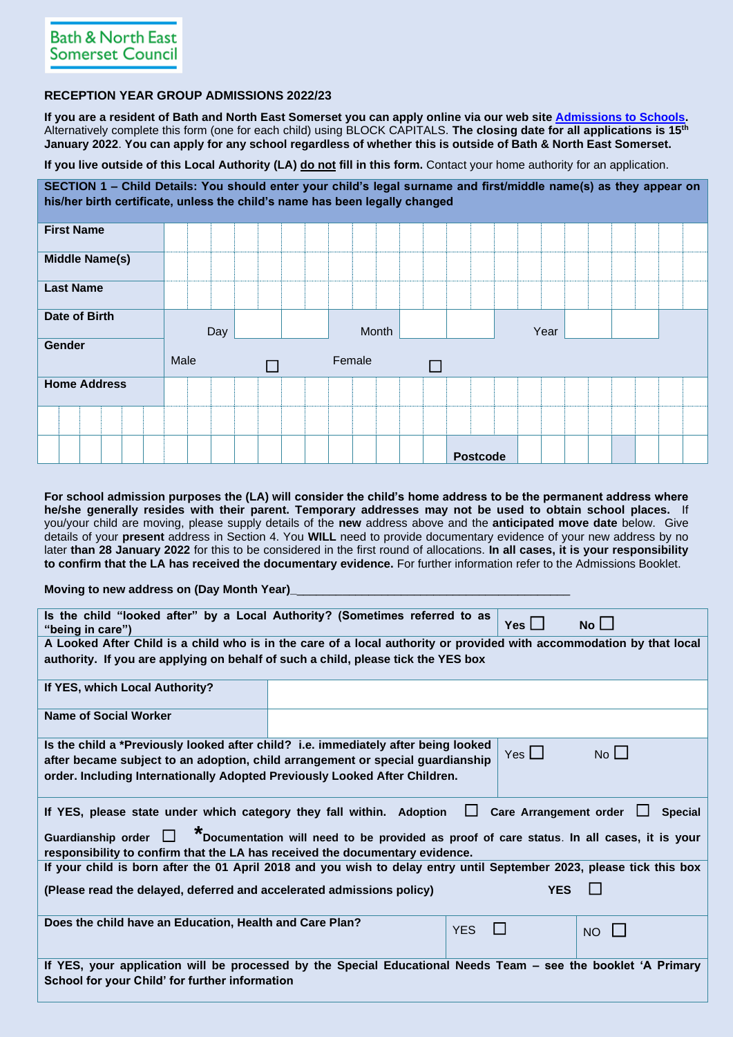# **RECEPTION YEAR GROUP ADMISSIONS 2022/23**

**If you are a resident of Bath and North East Somerset you can apply online via our web site [Admissions to Schools.](https://beta.bathnes.gov.uk/school-admissions)**  Alternatively complete this form (one for each child) using BLOCK CAPITALS. **The closing date for all applications is 15th January 2022**. **You can apply for any school regardless of whether this is outside of Bath & North East Somerset.**

**If you live outside of this Local Authority (LA) do not fill in this form.** Contact your home authority for an application.

**SECTION 1 – Child Details: You should enter your child's legal surname and first/middle name(s) as they appear on his/her birth certificate, unless the child's name has been legally changed First Name Middle Name(s)**

| <b>Last Name</b>    |      |        |                 |      |  |
|---------------------|------|--------|-----------------|------|--|
| Date of Birth       | Day  | Month  |                 | Year |  |
| Gender              | Male | Female |                 |      |  |
| <b>Home Address</b> |      |        |                 |      |  |
|                     |      |        |                 |      |  |
|                     |      |        | <b>Postcode</b> |      |  |

**For school admission purposes the (LA) will consider the child's home address to be the permanent address where he/she generally resides with their parent. Temporary addresses may not be used to obtain school places.** If you/your child are moving, please supply details of the **new** address above and the **anticipated move date** below. Give details of your **present** address in Section 4. You **WILL** need to provide documentary evidence of your new address by no later **than 28 January 2022** for this to be considered in the first round of allocations. **In all cases, it is your responsibility to confirm that the LA has received the documentary evidence.** For further information refer to the Admissions Booklet.

## **Moving to new address on (Day Month Year)**

| Is the child "looked after" by a Local Authority? (Sometimes referred to as<br>"being in care")                      | $Yes$ $\Box$                                                                              | $No$ $\Box$                      |                |  |  |  |  |  |  |  |  |
|----------------------------------------------------------------------------------------------------------------------|-------------------------------------------------------------------------------------------|----------------------------------|----------------|--|--|--|--|--|--|--|--|
| A Looked After Child is a child who is in the care of a local authority or provided with accommodation by that local |                                                                                           |                                  |                |  |  |  |  |  |  |  |  |
| authority. If you are applying on behalf of such a child, please tick the YES box                                    |                                                                                           |                                  |                |  |  |  |  |  |  |  |  |
|                                                                                                                      |                                                                                           |                                  |                |  |  |  |  |  |  |  |  |
| If YES, which Local Authority?                                                                                       |                                                                                           |                                  |                |  |  |  |  |  |  |  |  |
|                                                                                                                      |                                                                                           |                                  |                |  |  |  |  |  |  |  |  |
| Name of Social Worker                                                                                                |                                                                                           |                                  |                |  |  |  |  |  |  |  |  |
|                                                                                                                      |                                                                                           |                                  |                |  |  |  |  |  |  |  |  |
| Is the child a *Previously looked after child? i.e. immediately after being looked                                   |                                                                                           |                                  |                |  |  |  |  |  |  |  |  |
| after became subject to an adoption, child arrangement or special guardianship                                       |                                                                                           | Yes $\Box$                       | No             |  |  |  |  |  |  |  |  |
| order. Including Internationally Adopted Previously Looked After Children.                                           |                                                                                           |                                  |                |  |  |  |  |  |  |  |  |
|                                                                                                                      |                                                                                           |                                  |                |  |  |  |  |  |  |  |  |
| If YES, please state under which category they fall within. Adoption                                                 |                                                                                           | Care Arrangement order<br>$\Box$ | <b>Special</b> |  |  |  |  |  |  |  |  |
|                                                                                                                      |                                                                                           |                                  |                |  |  |  |  |  |  |  |  |
| Guardianship order $\Box$                                                                                            | *Documentation will need to be provided as proof of care status. In all cases, it is your |                                  |                |  |  |  |  |  |  |  |  |
| responsibility to confirm that the LA has received the documentary evidence.                                         |                                                                                           |                                  |                |  |  |  |  |  |  |  |  |
| If your child is born after the 01 April 2018 and you wish to delay entry until September 2023, please tick this box |                                                                                           |                                  |                |  |  |  |  |  |  |  |  |
| (Please read the delayed, deferred and accelerated admissions policy)                                                |                                                                                           | <b>YES</b>                       |                |  |  |  |  |  |  |  |  |
|                                                                                                                      |                                                                                           |                                  |                |  |  |  |  |  |  |  |  |
| Does the child have an Education, Health and Care Plan?                                                              |                                                                                           |                                  |                |  |  |  |  |  |  |  |  |
|                                                                                                                      |                                                                                           | <b>YES</b>                       | <b>NO</b>      |  |  |  |  |  |  |  |  |
|                                                                                                                      |                                                                                           |                                  |                |  |  |  |  |  |  |  |  |
| If YES, your application will be processed by the Special Educational Needs Team – see the booklet 'A Primary        |                                                                                           |                                  |                |  |  |  |  |  |  |  |  |
| School for your Child' for further information                                                                       |                                                                                           |                                  |                |  |  |  |  |  |  |  |  |
|                                                                                                                      |                                                                                           |                                  |                |  |  |  |  |  |  |  |  |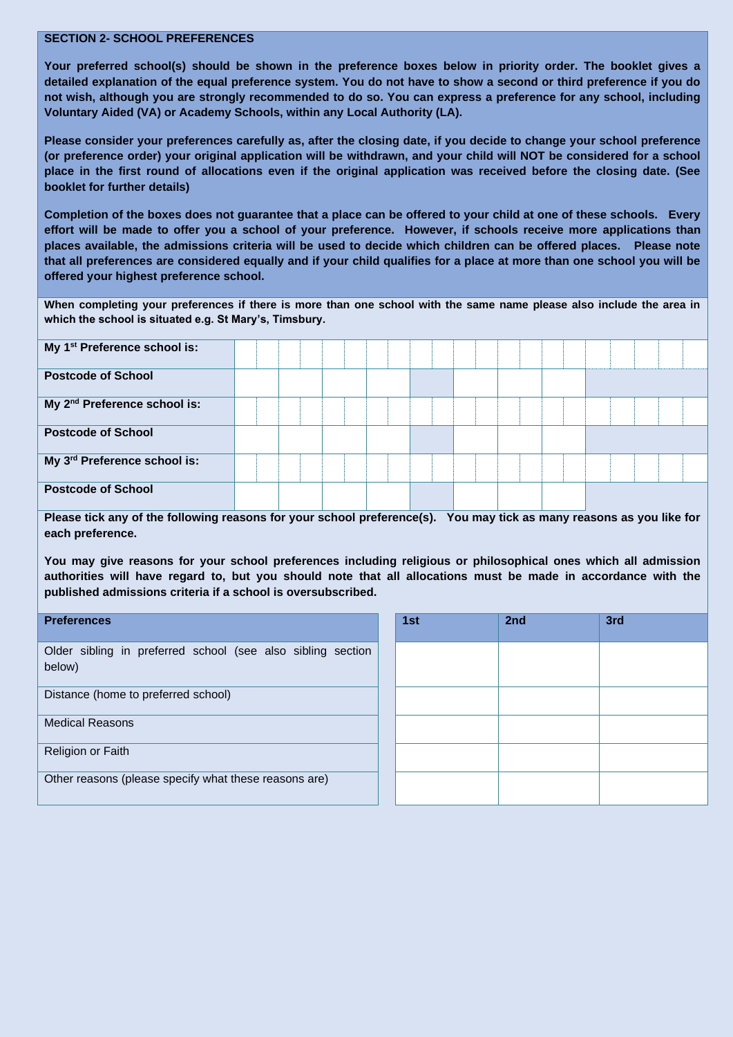#### **SECTION 2- SCHOOL PREFERENCES**

**Your preferred school(s) should be shown in the preference boxes below in priority order. The booklet gives a detailed explanation of the equal preference system. You do not have to show a second or third preference if you do not wish, although you are strongly recommended to do so. You can express a preference for any school, including Voluntary Aided (VA) or Academy Schools, within any Local Authority (LA).** 

**Please consider your preferences carefully as, after the closing date, if you decide to change your school preference (or preference order) your original application will be withdrawn, and your child will NOT be considered for a school place in the first round of allocations even if the original application was received before the closing date. (See booklet for further details)**

**Completion of the boxes does not guarantee that a place can be offered to your child at one of these schools. Every effort will be made to offer you a school of your preference. However, if schools receive more applications than places available, the admissions criteria will be used to decide which children can be offered places. Please note that all preferences are considered equally and if your child qualifies for a place at more than one school you will be offered your highest preference school.**

**When completing your preferences if there is more than one school with the same name please also include the area in which the school is situated e.g. St Mary's, Timsbury.**

| My 1 <sup>st</sup> Preference school is: |  |  |  |  |  |  |
|------------------------------------------|--|--|--|--|--|--|
| <b>Postcode of School</b>                |  |  |  |  |  |  |
| My 2 <sup>nd</sup> Preference school is: |  |  |  |  |  |  |
| <b>Postcode of School</b>                |  |  |  |  |  |  |
| My 3rd Preference school is:             |  |  |  |  |  |  |
| <b>Postcode of School</b>                |  |  |  |  |  |  |

**Please tick any of the following reasons for your school preference(s). You may tick as many reasons as you like for each preference.**

**You may give reasons for your school preferences including religious or philosophical ones which all admission authorities will have regard to, but you should note that all allocations must be made in accordance with the published admissions criteria if a school is oversubscribed.**

| <b>Preferences</b>                                                    | 1st | 2 <sub>nd</sub> | 3rd |
|-----------------------------------------------------------------------|-----|-----------------|-----|
| Older sibling in preferred school (see also sibling section<br>below) |     |                 |     |
| Distance (home to preferred school)                                   |     |                 |     |
| <b>Medical Reasons</b>                                                |     |                 |     |
| Religion or Faith                                                     |     |                 |     |
| Other reasons (please specify what these reasons are)                 |     |                 |     |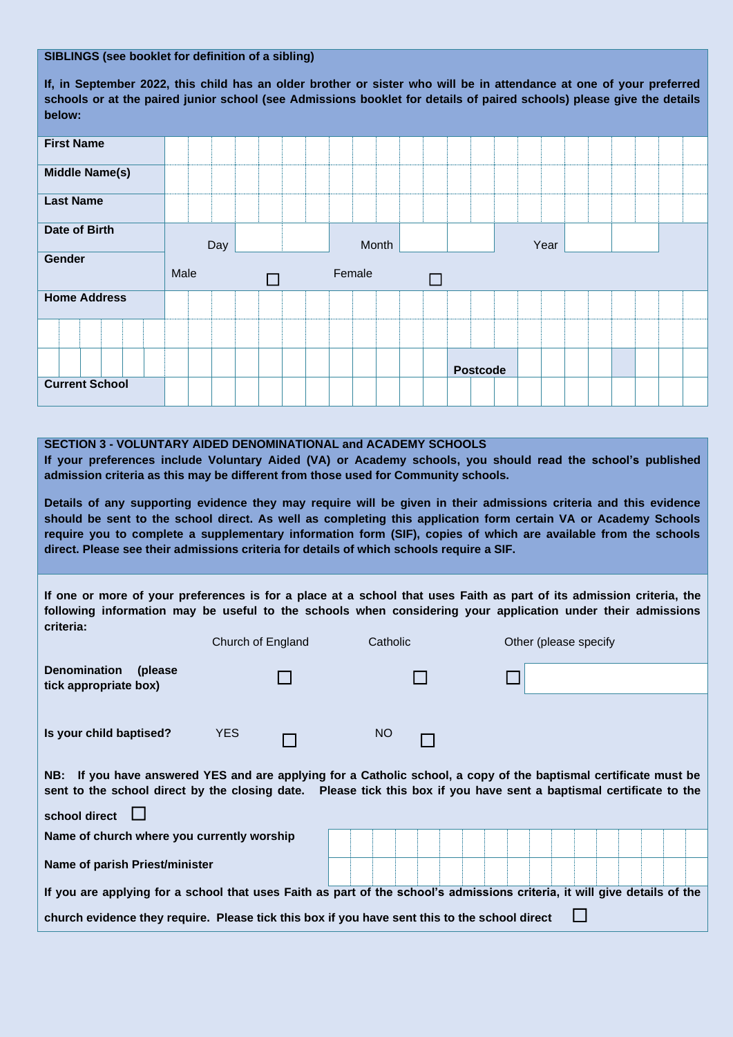## **SIBLINGS (see booklet for definition of a sibling)**

**If, in September 2022, this child has an older brother or sister who will be in attendance at one of your preferred schools or at the paired junior school (see Admissions booklet for details of paired schools) please give the details below:**

| <b>First Name</b>     |      |        |        |                 |
|-----------------------|------|--------|--------|-----------------|
| <b>Middle Name(s)</b> |      |        |        |                 |
| <b>Last Name</b>      |      |        |        |                 |
| <b>Date of Birth</b>  | Day  |        | Month  | Year            |
| Gender                |      |        |        |                 |
|                       | Male | $\Box$ | Female | $\Box$          |
| <b>Home Address</b>   |      |        |        |                 |
|                       |      |        |        |                 |
|                       |      |        |        | <b>Postcode</b> |

## **SECTION 3 - VOLUNTARY AIDED DENOMINATIONAL and ACADEMY SCHOOLS**

**If your preferences include Voluntary Aided (VA) or Academy schools, you should read the school's published admission criteria as this may be different from those used for Community schools.**

**Details of any supporting evidence they may require will be given in their admissions criteria and this evidence should be sent to the school direct. As well as completing this application form certain VA or Academy Schools require you to complete a supplementary information form (SIF), copies of which are available from the schools direct. Please see their admissions criteria for details of which schools require a SIF.** 

**If one or more of your preferences is for a place at a school that uses Faith as part of its admission criteria, the following information may be useful to the schools when considering your application under their admissions criteria:**

|                                                                                                                                                                                                                                                          | Church of England | Catholic | Other (please specify                                                                                                     |  |  |  |  |  |  |  |  |  |
|----------------------------------------------------------------------------------------------------------------------------------------------------------------------------------------------------------------------------------------------------------|-------------------|----------|---------------------------------------------------------------------------------------------------------------------------|--|--|--|--|--|--|--|--|--|
| <b>Denomination</b><br>(please)<br>tick appropriate box)                                                                                                                                                                                                 |                   |          |                                                                                                                           |  |  |  |  |  |  |  |  |  |
|                                                                                                                                                                                                                                                          |                   |          |                                                                                                                           |  |  |  |  |  |  |  |  |  |
| Is your child baptised?                                                                                                                                                                                                                                  | <b>YES</b>        | NO       |                                                                                                                           |  |  |  |  |  |  |  |  |  |
| NB: If you have answered YES and are applying for a Catholic school, a copy of the baptismal certificate must be<br>sent to the school direct by the closing date. Please tick this box if you have sent a baptismal certificate to the<br>school direct |                   |          |                                                                                                                           |  |  |  |  |  |  |  |  |  |
| Name of church where you currently worship                                                                                                                                                                                                               |                   |          |                                                                                                                           |  |  |  |  |  |  |  |  |  |
| Name of parish Priest/minister                                                                                                                                                                                                                           |                   |          |                                                                                                                           |  |  |  |  |  |  |  |  |  |
|                                                                                                                                                                                                                                                          |                   |          | If you are applying for a school that uses Faith as part of the school's admissions criteria, it will give details of the |  |  |  |  |  |  |  |  |  |
| church evidence they require. Please tick this box if you have sent this to the school direct                                                                                                                                                            |                   |          |                                                                                                                           |  |  |  |  |  |  |  |  |  |